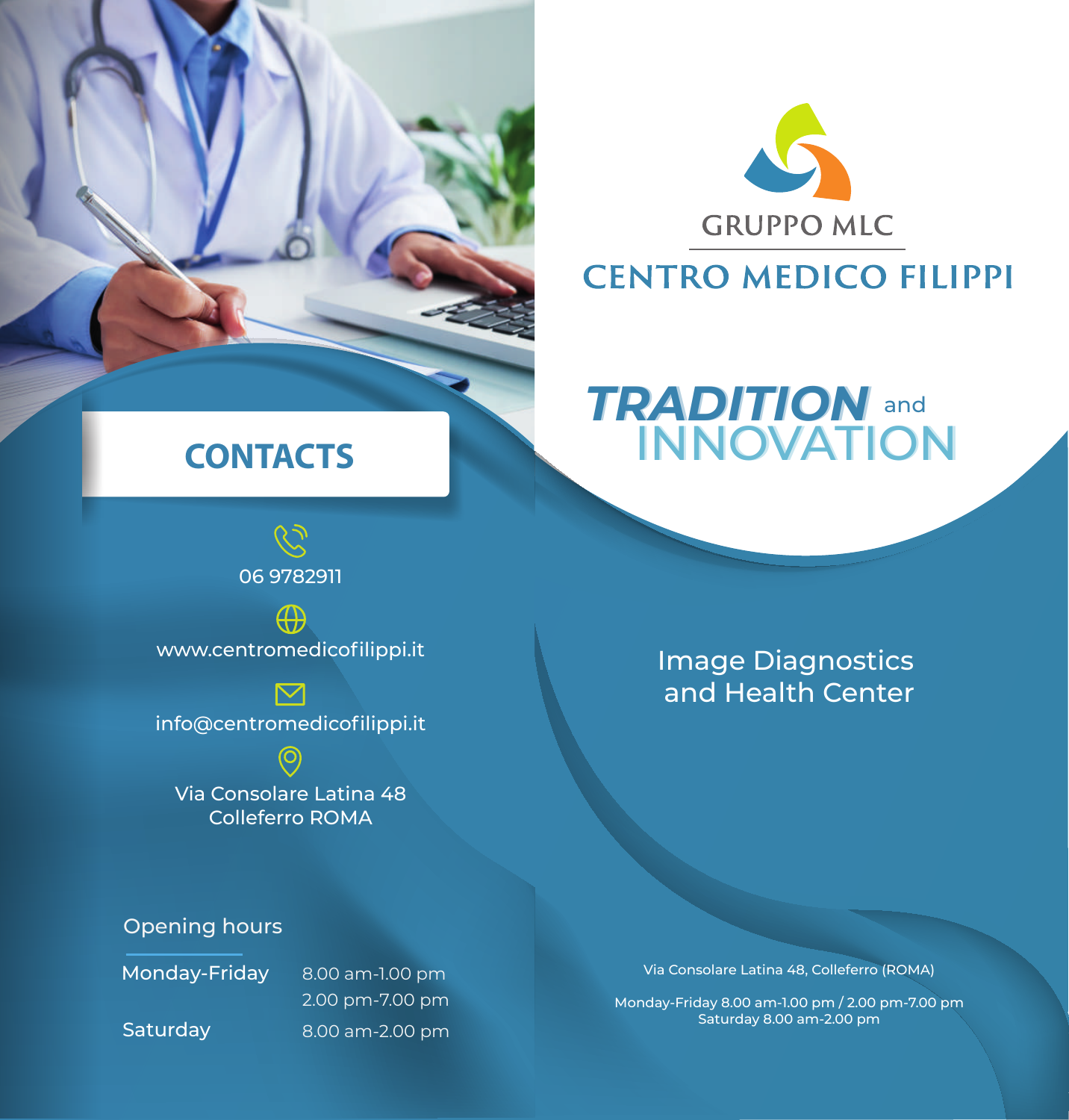

### **CENTRO MEDICO FILIPPI**

#### *TRADITION* **INNOVATION**  *TRADITION* **INNOVATION** and

# **CONTACTS**

06 9782911



www.centromedicofilippi.it

info@centromedicofilippi.it

 $\odot$ Via Consolare Latina 48 Colleferro ROMA

### Image Diagnostics and Health Center

### Opening hours

Monday-Friday 8.00 am-1.00 pm 2.00 pm-7.00 pm Saturday 8.00 am-2.00 pm Via Consolare Latina 48, Colleferro (ROMA)

Monday-Friday 8.00 am-1.00 pm / 2.00 pm-7.00 pm Saturday 8.00 am-2.00 pm